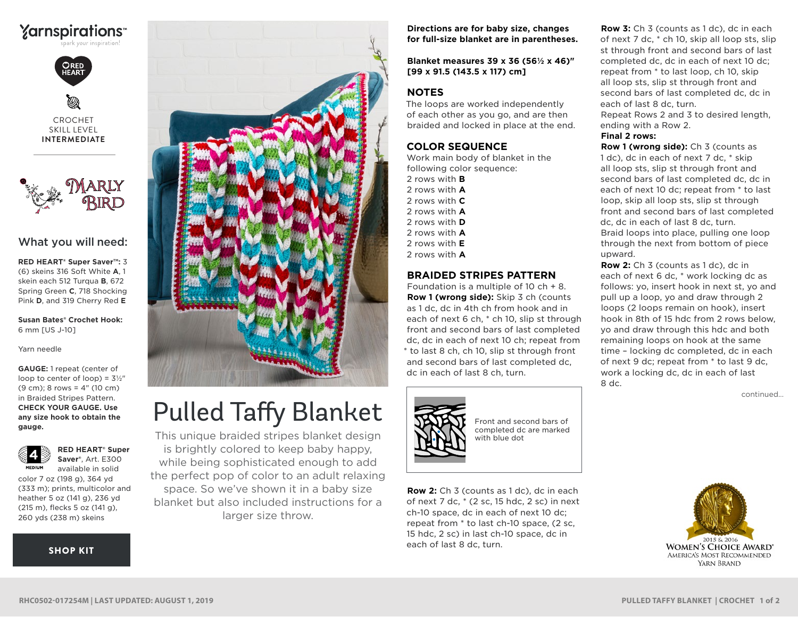



CROCHET SKILL LEVEL **INTERMEDIATE**



#### What you will need:

**RED HEART® Super Saver™:** 3 (6) skeins 316 Soft White **A**, 1 skein each 512 Turqua **B**, 672 Spring Green **C**, 718 Shocking Pink **D**, and 319 Cherry Red **E**

**Susan Bates® Crochet Hook:** 6 mm [US J-10]

Yarn needle

**GAUGE:** 1 repeat (center of loop to center of loop) =  $3\frac{1}{2}$ " (9 cm); 8 rows = 4" (10 cm) in Braided Stripes Pattern. **CHECK YOUR GAUGE. Use any size hook to obtain the gauge.**



**Saver®**, Art. E300 available in solid color 7 oz (198 g), 364 yd (333 m); prints, multicolor and heather 5 oz (141 g), 236 yd (215 m), flecks 5 oz (141 g),

260 yds (238 m) skeins

**RED HEART® Super** 

#### [SHOP KIT](https://www.yarnspirations.com/red-heart-pulled-taffy-blanket/RHC0502-017254M.html#utm_source=pdf-yarnspirations&utm_medium=referral&utm_campaign=pdf-RHC0502-017254M)



# Pulled Taffy Blanket

This unique braided stripes blanket design is brightly colored to keep baby happy, while being sophisticated enough to add the perfect pop of color to an adult relaxing space. So we've shown it in a baby size blanket but also included instructions for a larger size throw.

**Directions are for baby size, changes for full-size blanket are in parentheses.**

**Blanket measures 39 x 36 (56½ x 46)" [99 x 91.5 (143.5 x 117) cm]**

#### **NOTES**

The loops are worked independently of each other as you go, and are then braided and locked in place at the end.

### **COLOR SEQUENCE**

Work main body of blanket in the following color sequence:

- 2 rows with **B** 2 rows with **A**
- 2 rows with **C**
- 2 rows with **A**
- 2 rows with **D**
- 2 rows with **A**
- 2 rows with **E**
- 2 rows with **A**

## **BRAIDED STRIPES PATTERN**

Foundation is a multiple of 10 ch + 8. **Row 1 (wrong side):** Skip 3 ch (counts as 1 dc, dc in 4th ch from hook and in each of next 6 ch, \* ch 10, slip st through front and second bars of last completed dc, dc in each of next 10 ch; repeat from \* to last 8 ch, ch 10, slip st through front and second bars of last completed dc, dc in each of last 8 ch, turn.



Front and second bars of completed dc are marked with blue dot

**Row 2:** Ch 3 (counts as 1 dc), dc in each of next 7 dc, \* (2 sc, 15 hdc, 2 sc) in next ch-10 space, dc in each of next 10 dc; repeat from \* to last ch-10 space, (2 sc, 15 hdc, 2 sc) in last ch-10 space, dc in each of last 8 dc, turn.

**Row 3:** Ch 3 (counts as 1 dc), dc in each of next 7 dc, \* ch 10, skip all loop sts, slip st through front and second bars of last completed dc, dc in each of next 10 dc; repeat from \* to last loop, ch 10, skip all loop sts, slip st through front and second bars of last completed dc, dc in each of last 8 dc, turn. Repeat Rows 2 and 3 to desired length, ending with a Row 2.

**Final 2 rows:**

**Row 1 (wrong side):** Ch 3 (counts as 1 dc), dc in each of next 7 dc, \* skip all loop sts, slip st through front and second bars of last completed dc, dc in each of next 10 dc; repeat from \* to last loop, skip all loop sts, slip st through front and second bars of last completed dc, dc in each of last 8 dc, turn. Braid loops into place, pulling one loop through the next from bottom of piece upward.

**Row 2:** Ch 3 (counts as 1 dc), dc in each of next 6 dc, \* work locking dc as follows: yo, insert hook in next st, yo and pull up a loop, yo and draw through 2 loops (2 loops remain on hook), insert hook in 8th of 15 hdc from 2 rows below, yo and draw through this hdc and both remaining loops on hook at the same time – locking dc completed, dc in each of next 9 dc; repeat from \* to last 9 dc, work a locking dc, dc in each of last 8 dc.

continued...